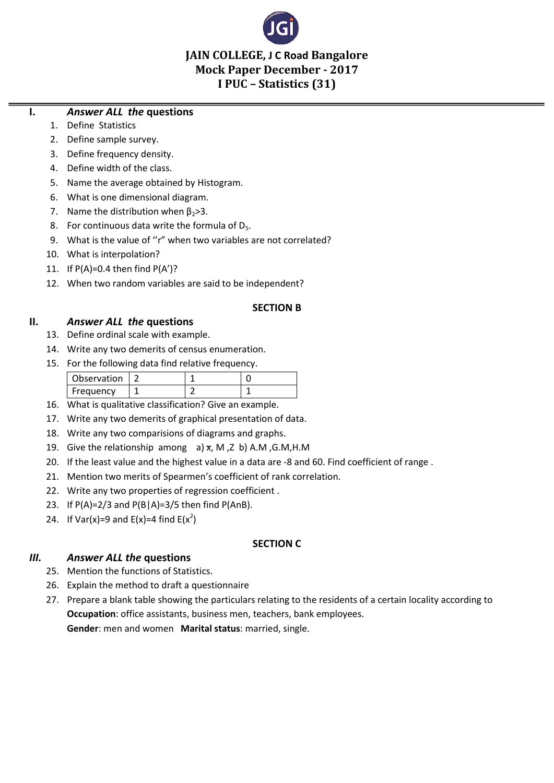

# **JAIN COLLEGE, J C Road Bangalore Mock Paper December - 2017 I PUC – Statistics (31)**

### **I.** *Answer ALL the* **questions**

- 1. Define Statistics
- 2. Define sample survey.
- 3. Define frequency density.
- 4. Define width of the class.
- 5. Name the average obtained by Histogram.
- 6. What is one dimensional diagram.
- 7. Name the distribution when  $\beta_2 > 3$ .
- 8. For continuous data write the formula of  $D_5$ .
- 9. What is the value of "r" when two variables are not correlated?
- 10. What is interpolation?
- 11. If  $P(A)=0.4$  then find  $P(A')$ ?
- 12. When two random variables are said to be independent?

#### **SECTION B**

#### **II.** *Answer ALL the* **questions**

- 13. Define ordinal scale with example.
- 14. Write any two demerits of census enumeration.
- 15. For the following data find relative frequency.

| Observation |  |  |
|-------------|--|--|
| Frequency   |  |  |

- 16. What is qualitative classification? Give an example.
- 17. Write any two demerits of graphical presentation of data.
- 18. Write any two comparisions of diagrams and graphs.
- 19. Give the relationship among a)  $x$ , M, Z b) A.M, G.M, H.M
- 20. If the least value and the highest value in a data are -8 and 60. Find coefficient of range .
- 21. Mention two merits of Spearmen's coefficient of rank correlation.
- 22. Write any two properties of regression coefficient .
- 23. If  $P(A)=2/3$  and  $P(B|A)=3/5$  then find  $P(A \cap B)$ .
- 24. If Var(x)=9 and  $E(x)=4$  find  $E(x^2)$

#### **SECTION C**

### *III. Answer ALL the* **questions**

- 25. Mention the functions of Statistics.
- 26. Explain the method to draft a questionnaire
- 27. Prepare a blank table showing the particulars relating to the residents of a certain locality according to **Occupation**: office assistants, business men, teachers, bank employees. **Gender**: men and women **Marital status**: married, single.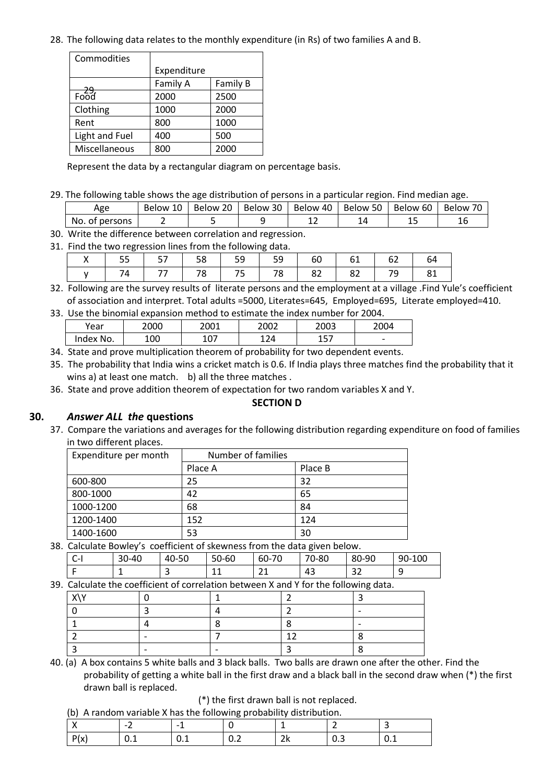28. The following data relates to the monthly expenditure (in Rs) of two families A and B.

| Commodities              |             |          |
|--------------------------|-------------|----------|
|                          | Expenditure |          |
|                          | Family A    | Family B |
| <del>- 29.</del><br>Food | 2000        | 2500     |
| Clothing                 | 1000        | 2000     |
| Rent                     | 800         | 1000     |
| Light and Fuel           | 400         | 500      |
| Miscellaneous            | 800         | 2000     |

Represent the data by a rectangular diagram on percentage basis.

29. The following table shows the age distribution of persons in a particular region. Find median age.

| Age            | 10<br>Below | 20<br>Below: | Below 30 | Below 40 | Below 50 | Below 60 | <b>Below</b> |
|----------------|-------------|--------------|----------|----------|----------|----------|--------------|
| No. of persons |             |              |          | --       |          | --       |              |

30. Write the difference between correlation and regression.

31. Find the two regression lines from the following data.

|     |                |  |  | 55   57   58   59   59   60   61   62 | -64 |
|-----|----------------|--|--|---------------------------------------|-----|
| 74. | $\frac{1}{77}$ |  |  | 78   75   78   82   82   79   81      |     |

32. Following are the survey results of literate persons and the employment at a village .Find Yule's coefficient of association and interpret. Total adults =5000, Literates=645, Employed=695, Literate employed=410.

33. Use the binomial expansion method to estimate the index number for 2004.

| Year      | 2000 | 2001          | 2002 | 2003     | 2004                     |
|-----------|------|---------------|------|----------|--------------------------|
| Index No. | 100  | $\sim$<br>⊥∪/ | 124  | 57<br>∸~ | $\overline{\phantom{0}}$ |

34. State and prove multiplication theorem of probability for two dependent events.

35. The probability that India wins a cricket match is 0.6. If India plays three matches find the probability that it wins a) at least one match. b) all the three matches .

36. State and prove addition theorem of expectation for two random variables X and Y.

### **SECTION D**

### **30.** *Answer ALL the* **questions**

37. Compare the variations and averages for the following distribution regarding expenditure on food of families in two different places.

| Expenditure per month | Number of families |         |
|-----------------------|--------------------|---------|
|                       | Place A            | Place B |
| 600-800               | 25                 | 32      |
| 800-1000              | 42                 | 65      |
| 1000-1200             | 68                 | 84      |
| 1200-1400             | 152                | 124     |
| 1400-1600             | 53                 | 30      |

38. Calculate Bowley's coefficient of skewness from the data given below.

|                                     | -                           | $\overline{\phantom{a}}$ | $\sim$<br><b>___</b>   | $\mathbf{A}$<br><u>_ _</u>                  | 43                | $\sim$ $\sim$<br>ےر |                |
|-------------------------------------|-----------------------------|--------------------------|------------------------|---------------------------------------------|-------------------|---------------------|----------------|
| ∽<br>$\overline{\phantom{0}}$<br>ັ້ | )-40<br>$\Omega$<br>≺<br>υU | 0-50<br>40               | 0-60<br>$\Gamma$<br>טכ | $\overline{\phantom{a}}$<br>rn.<br>bU-<br>U | 0-80<br>⇁⌒<br>. U | 80<br>)-90          | -100<br>$90 -$ |

| 39. Calculate the coefficient of correlation between X and Y for the following data. |  |  |  |  |  |  |  |  |  |  |
|--------------------------------------------------------------------------------------|--|--|--|--|--|--|--|--|--|--|
|                                                                                      |  |  |  |  |  |  |  |  |  |  |
|                                                                                      |  |  |  |  |  |  |  |  |  |  |
|                                                                                      |  |  |  |  |  |  |  |  |  |  |
|                                                                                      |  |  |  |  |  |  |  |  |  |  |

40. (a) A box contains 5 white balls and 3 black balls. Two balls are drawn one after the other. Find the probability of getting a white ball in the first draw and a black ball in the second draw when (\*) the first drawn ball is replaced.

(\*) the first drawn ball is not replaced.

(b) A random variable X has the following probability distribution.

3 |- |- |- |3 |8

| (b) Thendom vanable A has the following probability distribution. |     |                          |     |          |      |      |  |  |  |  |  |
|-------------------------------------------------------------------|-----|--------------------------|-----|----------|------|------|--|--|--|--|--|
|                                                                   | -   | $\overline{\phantom{0}}$ |     |          |      |      |  |  |  |  |  |
| P(x)                                                              | v.⊥ | ັບ.⊥                     | v.z | יר<br>δÑ | ັບ.ບ | ັບ.⊥ |  |  |  |  |  |